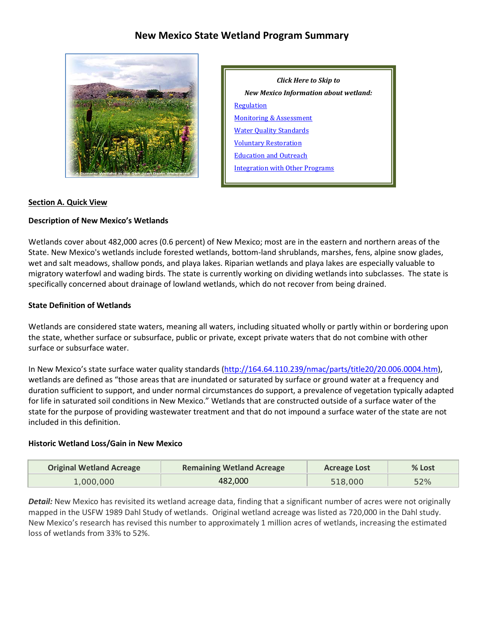# **New Mexico State Wetland Program Summary**



| Click Here to Skip to                 |  |  |  |  |  |
|---------------------------------------|--|--|--|--|--|
| New Mexico Information about wetland: |  |  |  |  |  |
| <b>Regulation</b>                     |  |  |  |  |  |
| <b>Monitoring &amp; Assessment</b>    |  |  |  |  |  |
| <b>Water Quality Standards</b>        |  |  |  |  |  |
| <b>Voluntary Restoration</b>          |  |  |  |  |  |
| <b>Education and Outreach</b>         |  |  |  |  |  |
| Integration with Other Programs       |  |  |  |  |  |

#### **Section A. Quick View**

#### **Description of New Mexico's Wetlands**

Wetlands cover about 482,000 acres (0.6 percent) of New Mexico; most are in the eastern and northern areas of the State. New Mexico's wetlands include forested wetlands, bottom-land shrublands, marshes, fens, alpine snow glades, wet and salt meadows, shallow ponds, and playa lakes. Riparian wetlands and playa lakes are especially valuable to migratory waterfowl and wading birds. The state is currently working on dividing wetlands into subclasses. The state is specifically concerned about drainage of lowland wetlands, which do not recover from being drained.

#### **State Definition of Wetlands**

Wetlands are considered state waters, meaning all waters, including situated wholly or partly within or bordering upon the state, whether surface or subsurface, public or private, except private waters that do not combine with other surface or subsurface water.

In New Mexico's state surface water quality standards [\(http://164.64.110.239/nmac/parts/title20/20.006.0004.htm\)](http://164.64.110.239/nmac/parts/title20/20.006.0004.htm), wetlands are defined as "those areas that are inundated or saturated by surface or ground water at a frequency and duration sufficient to support, and under normal circumstances do support, a prevalence of vegetation typically adapted for life in saturated soil conditions in New Mexico." Wetlands that are constructed outside of a surface water of the state for the purpose of providing wastewater treatment and that do not impound a surface water of the state are not included in this definition.

#### **Historic Wetland Loss/Gain in New Mexico**

| <b>Original Wetland Acreage</b> | <b>Remaining Wetland Acreage</b> | <b>Acreage Lost</b> | % Lost |
|---------------------------------|----------------------------------|---------------------|--------|
| 1,000,000                       | 482,000                          | 518,000             | 52%    |

*Detail:* New Mexico has revisited its wetland acreage data, finding that a significant number of acres were not originally mapped in the USFW 1989 Dahl Study of wetlands. Original wetland acreage was listed as 720,000 in the Dahl study. New Mexico's research has revised this number to approximately 1 million acres of wetlands, increasing the estimated loss of wetlands from 33% to 52%.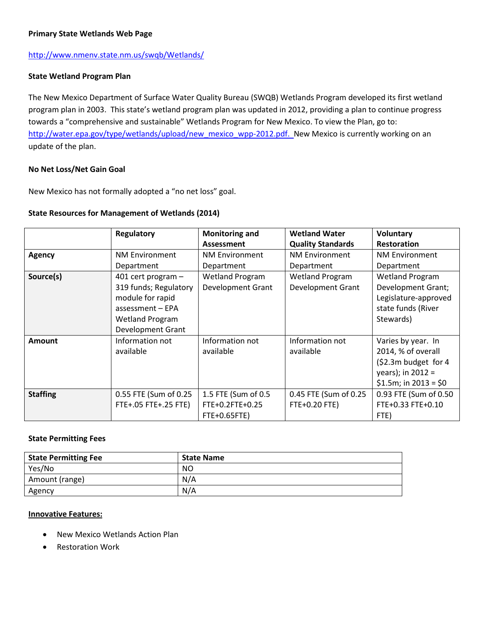#### **Primary State Wetlands Web Page**

#### <http://www.nmenv.state.nm.us/swqb/Wetlands/>

#### **State Wetland Program Plan**

The New Mexico Department of Surface Water Quality Bureau (SWQB) Wetlands Program developed its first wetland program plan in 2003. This state's wetland program plan was updated in 2012, providing a plan to continue progress towards a "comprehensive and sustainable" Wetlands Program for New Mexico. To view the Plan, go to: [http://water.epa.gov/type/wetlands/upload/new\\_mexico\\_wpp-2012.pdf.](http://water.epa.gov/type/wetlands/upload/new_mexico_wpp-2012.pdf) New Mexico is currently working on an update of the plan.

#### **No Net Loss/Net Gain Goal**

New Mexico has not formally adopted a "no net loss" goal.

#### **State Resources for Management of Wetlands (2014)**

|                 | Regulatory               | <b>Monitoring and</b>    | <b>Wetland Water</b>     | <b>Voluntary</b>       |
|-----------------|--------------------------|--------------------------|--------------------------|------------------------|
|                 |                          | Assessment               | <b>Quality Standards</b> | <b>Restoration</b>     |
| <b>Agency</b>   | <b>NM Environment</b>    | <b>NM Environment</b>    | <b>NM Environment</b>    | <b>NM Environment</b>  |
|                 | Department               | Department               | Department               | Department             |
| Source(s)       | 401 cert program $-$     | <b>Wetland Program</b>   | <b>Wetland Program</b>   | <b>Wetland Program</b> |
|                 | 319 funds; Regulatory    | <b>Development Grant</b> | <b>Development Grant</b> | Development Grant;     |
|                 | module for rapid         |                          |                          | Legislature-approved   |
|                 | assessment - EPA         |                          |                          | state funds (River     |
|                 | <b>Wetland Program</b>   |                          |                          | Stewards)              |
|                 | <b>Development Grant</b> |                          |                          |                        |
| Amount          | Information not          | Information not          | Information not          | Varies by year. In     |
|                 | available                | available                | available                | 2014, % of overall     |
|                 |                          |                          |                          | (\$2.3m budget for 4   |
|                 |                          |                          |                          | years); in $2012 =$    |
|                 |                          |                          |                          | $$1.5m; in 2013 = $0$  |
| <b>Staffing</b> | 0.55 FTE (Sum of 0.25    | 1.5 FTE (Sum of 0.5      | 0.45 FTE (Sum of 0.25    | 0.93 FTE (Sum of 0.50  |
|                 | FTE+.05 FTE+.25 FTE)     | FTE+0.2FTE+0.25          | FTE+0.20 FTE)            | FTE+0.33 FTE+0.10      |
|                 |                          | FTE+0.65FTE)             |                          | FTE)                   |

#### **State Permitting Fees**

| <b>State Permitting Fee</b> | <b>State Name</b> |
|-----------------------------|-------------------|
| Yes/No                      | NO                |
| Amount (range)              | N/A               |
| Agency                      | N/A               |

#### **Innovative Features:**

- New Mexico Wetlands Action Plan
- **Restoration Work**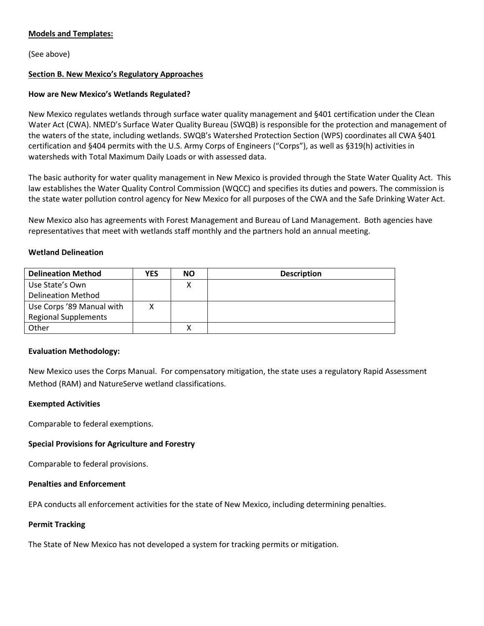#### **Models and Templates:**

(See above)

### <span id="page-2-0"></span>**Section B. New Mexico's Regulatory Approaches**

#### **How are New Mexico's Wetlands Regulated?**

New Mexico regulates wetlands through surface water quality management and §401 certification under the Clean Water Act (CWA). NMED's Surface Water Quality Bureau (SWQB) is responsible for the protection and management of the waters of the state, including wetlands. SWQB's Watershed Protection Section (WPS) coordinates all CWA §401 certification and §404 permits with the U.S. Army Corps of Engineers ("Corps"), as well as §319(h) activities in watersheds with Total Maximum Daily Loads or with assessed data.

The basic authority for water quality management in New Mexico is provided through the State Water Quality Act. This law establishes the Water Quality Control Commission (WQCC) and specifies its duties and powers. The commission is the state water pollution control agency for New Mexico for all purposes of the CWA and the Safe Drinking Water Act.

New Mexico also has agreements with Forest Management and Bureau of Land Management. Both agencies have representatives that meet with wetlands staff monthly and the partners hold an annual meeting.

#### **Wetland Delineation**

| <b>Delineation Method</b>   | YES | NΟ | <b>Description</b> |
|-----------------------------|-----|----|--------------------|
| Use State's Own             |     |    |                    |
| <b>Delineation Method</b>   |     |    |                    |
| Use Corps '89 Manual with   |     |    |                    |
| <b>Regional Supplements</b> |     |    |                    |
| Other                       |     |    |                    |

#### **Evaluation Methodology:**

New Mexico uses the Corps Manual. For compensatory mitigation, the state uses a regulatory Rapid Assessment Method (RAM) and NatureServe wetland classifications.

#### **Exempted Activities**

Comparable to federal exemptions.

#### **Special Provisions for Agriculture and Forestry**

Comparable to federal provisions.

#### **Penalties and Enforcement**

EPA conducts all enforcement activities for the state of New Mexico, including determining penalties.

#### **Permit Tracking**

The State of New Mexico has not developed a system for tracking permits or mitigation.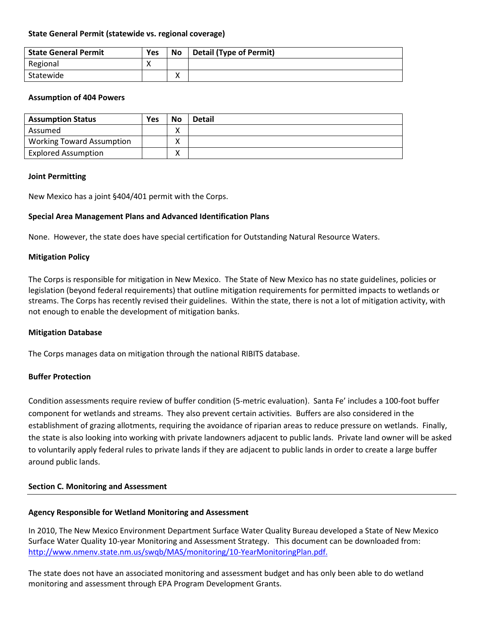#### **State General Permit (statewide vs. regional coverage)**

| <b>State General Permit</b> | Yes      | No | <b>Detail (Type of Permit)</b> |
|-----------------------------|----------|----|--------------------------------|
| Regional                    | $\cdots$ |    |                                |
| Statewide                   |          | Λ  |                                |

#### **Assumption of 404 Powers**

| <b>Assumption Status</b>         | Yes | No                | <b>Detail</b> |
|----------------------------------|-----|-------------------|---------------|
| Assumed                          |     | $\checkmark$<br>∧ |               |
| <b>Working Toward Assumption</b> |     | ∧                 |               |
| <b>Explored Assumption</b>       |     | ∧                 |               |

#### **Joint Permitting**

New Mexico has a joint §404/401 permit with the Corps.

#### **Special Area Management Plans and Advanced Identification Plans**

None. However, the state does have special certification for Outstanding Natural Resource Waters.

#### **Mitigation Policy**

The Corps is responsible for mitigation in New Mexico. The State of New Mexico has no state guidelines, policies or legislation (beyond federal requirements) that outline mitigation requirements for permitted impacts to wetlands or streams. The Corps has recently revised their guidelines. Within the state, there is not a lot of mitigation activity, with not enough to enable the development of mitigation banks.

#### **Mitigation Database**

The Corps manages data on mitigation through the national RIBITS database.

#### **Buffer Protection**

Condition assessments require review of buffer condition (5-metric evaluation). Santa Fe' includes a 100-foot buffer component for wetlands and streams. They also prevent certain activities. Buffers are also considered in the establishment of grazing allotments, requiring the avoidance of riparian areas to reduce pressure on wetlands. Finally, the state is also looking into working with private landowners adjacent to public lands. Private land owner will be asked to voluntarily apply federal rules to private lands if they are adjacent to public lands in order to create a large buffer around public lands.

#### <span id="page-3-0"></span>**Section C. Monitoring and Assessment**

#### **Agency Responsible for Wetland Monitoring and Assessment**

In 2010, The New Mexico Environment Department Surface Water Quality Bureau developed a State of New Mexico Surface Water Quality 10-year Monitoring and Assessment Strategy. This document can be downloaded from: [http://www.nmenv.state.nm.us/swqb/MAS/monitoring/10-YearMonitoringPlan.pdf.](http://www.nmenv.state.nm.us/swqb/MAS/monitoring/10-YearMonitoringPlan.pdf)

The state does not have an associated monitoring and assessment budget and has only been able to do wetland monitoring and assessment through EPA Program Development Grants.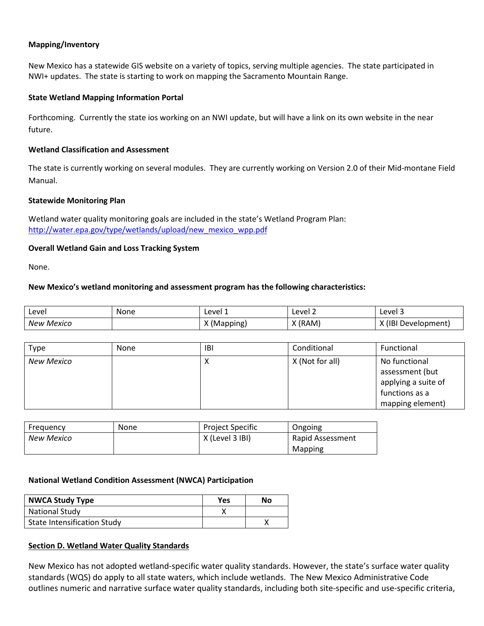### **Mapping/Inventory**

New Mexico has a statewide GIS website on a variety of topics, serving multiple agencies. The state participated in NWI+ updates. The state is starting to work on mapping the Sacramento Mountain Range.

#### **State Wetland Mapping Information Portal**

Forthcoming. Currently the state ios working on an NWI update, but will have a link on its own website in the near future.

#### **Wetland Classification and Assessment**

The state is currently working on several modules. They are currently working on Version 2.0 of their Mid-montane Field Manual.

#### **Statewide Monitoring Plan**

Wetland water quality monitoring goals are included in the state's Wetland Program Plan: [http://water.epa.gov/type/wetlands/upload/new\\_mexico\\_wpp.pdf](http://water.epa.gov/type/wetlands/upload/new_mexico_wpp.pdf)

#### **Overall Wetland Gain and Loss Tracking System**

None.

#### **New Mexico's wetland monitoring and assessment program has the following characteristics:**

| Level         | None | Level 1   | Level 2          | Level 3           |
|---------------|------|-----------|------------------|-------------------|
| Mexico<br>New |      | 'Mapping) | (RAM)<br>$\cdot$ | ΠB<br>Development |

| <b>Type</b>       | None | <b>IBI</b> | Conditional     | Functional                                                                                    |
|-------------------|------|------------|-----------------|-----------------------------------------------------------------------------------------------|
| <b>New Mexico</b> |      | ́          | X (Not for all) | No functional<br>assessment (but<br>applying a suite of<br>functions as a<br>mapping element) |

| Frequency  | None | <b>Project Specific</b> | Ongoing          |
|------------|------|-------------------------|------------------|
| New Mexico |      | X (Level 3 IBI)         | Rapid Assessment |
|            |      |                         | Mapping          |

#### **National Wetland Condition Assessment (NWCA) Participation**

| <b>NWCA Study Type</b>             | Yes | No |
|------------------------------------|-----|----|
| <b>National Study</b>              |     |    |
| <b>State Intensification Study</b> |     |    |

#### <span id="page-4-0"></span>**Section D. Wetland Water Quality Standards**

New Mexico has not adopted wetland-specific water quality standards. However, the state's surface water quality standards (WQS) do apply to all state waters, which include wetlands. The New Mexico Administrative Code outlines numeric and narrative surface water quality standards, including both site-specific and use-specific criteria,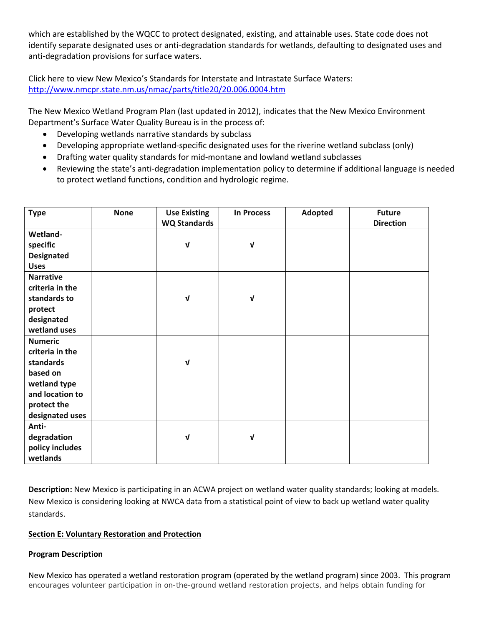which are established by the WQCC to protect designated, existing, and attainable uses. State code does not identify separate designated uses or anti-degradation standards for wetlands, defaulting to designated uses and anti-degradation provisions for surface waters.

Click here to view New Mexico's Standards for Interstate and Intrastate Surface Waters: <http://www.nmcpr.state.nm.us/nmac/parts/title20/20.006.0004.htm>

The New Mexico Wetland Program Plan (last updated in 2012), indicates that the New Mexico Environment Department's Surface Water Quality Bureau is in the process of:

- Developing wetlands narrative standards by subclass
- Developing appropriate wetland-specific designated uses for the riverine wetland subclass (only)
- Drafting water quality standards for mid-montane and lowland wetland subclasses
- Reviewing the state's anti-degradation implementation policy to determine if additional language is needed to protect wetland functions, condition and hydrologic regime.

| <b>Type</b>                                                                                                                                                                                            | <b>None</b> | <b>Use Existing</b><br><b>WQ Standards</b> | <b>In Process</b> | Adopted | <b>Future</b><br><b>Direction</b> |
|--------------------------------------------------------------------------------------------------------------------------------------------------------------------------------------------------------|-------------|--------------------------------------------|-------------------|---------|-----------------------------------|
| Wetland-                                                                                                                                                                                               |             |                                            |                   |         |                                   |
| specific                                                                                                                                                                                               |             | $\sqrt{ }$                                 | $\mathbf v$       |         |                                   |
| <b>Designated</b>                                                                                                                                                                                      |             |                                            |                   |         |                                   |
| <b>Uses</b>                                                                                                                                                                                            |             |                                            |                   |         |                                   |
| <b>Narrative</b>                                                                                                                                                                                       |             |                                            |                   |         |                                   |
| criteria in the                                                                                                                                                                                        |             |                                            |                   |         |                                   |
| standards to                                                                                                                                                                                           |             | V                                          | $\sqrt{ }$        |         |                                   |
| protect                                                                                                                                                                                                |             |                                            |                   |         |                                   |
| designated                                                                                                                                                                                             |             |                                            |                   |         |                                   |
|                                                                                                                                                                                                        |             |                                            |                   |         |                                   |
|                                                                                                                                                                                                        |             |                                            |                   |         |                                   |
|                                                                                                                                                                                                        |             |                                            |                   |         |                                   |
|                                                                                                                                                                                                        |             |                                            |                   |         |                                   |
|                                                                                                                                                                                                        |             |                                            |                   |         |                                   |
|                                                                                                                                                                                                        |             |                                            |                   |         |                                   |
|                                                                                                                                                                                                        |             |                                            |                   |         |                                   |
|                                                                                                                                                                                                        |             |                                            |                   |         |                                   |
|                                                                                                                                                                                                        |             |                                            |                   |         |                                   |
|                                                                                                                                                                                                        |             |                                            |                   |         |                                   |
|                                                                                                                                                                                                        |             |                                            |                   |         |                                   |
|                                                                                                                                                                                                        |             |                                            |                   |         |                                   |
| wetland uses<br><b>Numeric</b><br>criteria in the<br>standards<br>based on<br>wetland type<br>and location to<br>protect the<br>designated uses<br>Anti-<br>degradation<br>policy includes<br>wetlands |             | V<br>V                                     | $\sqrt{ }$        |         |                                   |

**Description:** New Mexico is participating in an ACWA project on wetland water quality standards; looking at models. New Mexico is considering looking at NWCA data from a statistical point of view to back up wetland water quality standards.

### <span id="page-5-0"></span>**Section E: Voluntary Restoration and Protection**

#### **Program Description**

New Mexico has operated a wetland restoration program (operated by the wetland program) since 2003. This program encourages volunteer participation in on-the-ground wetland restoration projects, and helps obtain funding for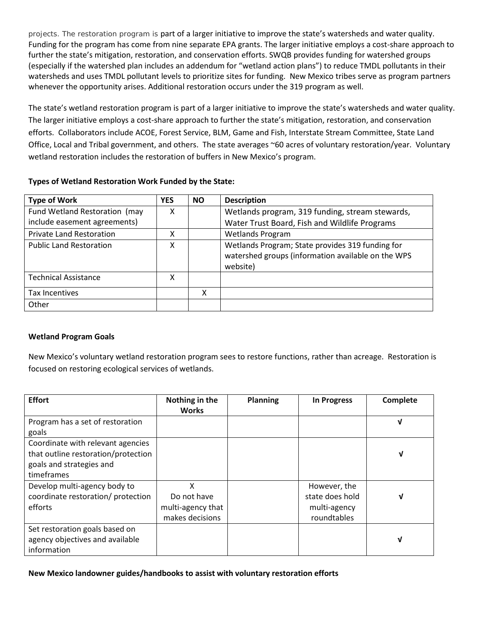projects. The restoration program is part of a larger initiative to improve the state's watersheds and water quality. Funding for the program has come from nine separate EPA grants. The larger initiative employs a cost-share approach to further the state's mitigation, restoration, and conservation efforts. SWQB provides funding for watershed groups (especially if the watershed plan includes an addendum for "wetland action plans") to reduce TMDL pollutants in their watersheds and uses TMDL pollutant levels to prioritize sites for funding. New Mexico tribes serve as program partners whenever the opportunity arises. Additional restoration occurs under the 319 program as well.

The state's wetland restoration program is part of a larger initiative to improve the state's watersheds and water quality. The larger initiative employs a cost-share approach to further the state's mitigation, restoration, and conservation efforts. Collaborators include ACOE, Forest Service, BLM, Game and Fish, Interstate Stream Committee, State Land Office, Local and Tribal government, and others. The state averages ~60 acres of voluntary restoration/year. Voluntary wetland restoration includes the restoration of buffers in New Mexico's program.

### **Types of Wetland Restoration Work Funded by the State:**

| <b>Type of Work</b>             | <b>YES</b> | <b>NO</b> | <b>Description</b>                                                                                                 |
|---------------------------------|------------|-----------|--------------------------------------------------------------------------------------------------------------------|
| Fund Wetland Restoration (may   | х          |           | Wetlands program, 319 funding, stream stewards,                                                                    |
| include easement agreements)    |            |           | Water Trust Board, Fish and Wildlife Programs                                                                      |
| <b>Private Land Restoration</b> |            |           | <b>Wetlands Program</b>                                                                                            |
| <b>Public Land Restoration</b>  | x          |           | Wetlands Program; State provides 319 funding for<br>watershed groups (information available on the WPS<br>website) |
| <b>Technical Assistance</b>     | x          |           |                                                                                                                    |
| <b>Tax Incentives</b>           |            | χ         |                                                                                                                    |
| Other                           |            |           |                                                                                                                    |

### **Wetland Program Goals**

New Mexico's voluntary wetland restoration program sees to restore functions, rather than acreage. Restoration is focused on restoring ecological services of wetlands.

| <b>Effort</b>                                                                                                      | Nothing in the<br><b>Works</b>                           | <b>Planning</b> | <b>In Progress</b>                                             | Complete |
|--------------------------------------------------------------------------------------------------------------------|----------------------------------------------------------|-----------------|----------------------------------------------------------------|----------|
| Program has a set of restoration<br>goals                                                                          |                                                          |                 |                                                                | V        |
| Coordinate with relevant agencies<br>that outline restoration/protection<br>goals and strategies and<br>timeframes |                                                          |                 |                                                                | V        |
| Develop multi-agency body to<br>coordinate restoration/ protection<br>efforts                                      | χ<br>Do not have<br>multi-agency that<br>makes decisions |                 | However, the<br>state does hold<br>multi-agency<br>roundtables | V        |
| Set restoration goals based on<br>agency objectives and available<br>information                                   |                                                          |                 |                                                                | ν        |

**New Mexico landowner guides/handbooks to assist with voluntary restoration efforts**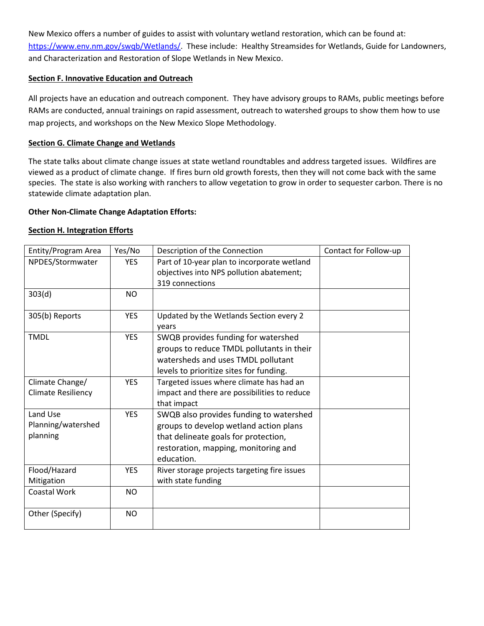New Mexico offers a number of guides to assist with voluntary wetland restoration, which can be found at: [https://www.env.nm.gov/swqb/Wetlands/.](https://www.env.nm.gov/swqb/Wetlands/) These include: Healthy Streamsides for Wetlands, Guide for Landowners, and Characterization and Restoration of Slope Wetlands in New Mexico.

### <span id="page-7-0"></span>**Section F. Innovative Education and Outreach**

All projects have an education and outreach component. They have advisory groups to RAMs, public meetings before RAMs are conducted, annual trainings on rapid assessment, outreach to watershed groups to show them how to use map projects, and workshops on the New Mexico Slope Methodology.

### **Section G. Climate Change and Wetlands**

The state talks about climate change issues at state wetland roundtables and address targeted issues. Wildfires are viewed as a product of climate change. If fires burn old growth forests, then they will not come back with the same species. The state is also working with ranchers to allow vegetation to grow in order to sequester carbon. There is no statewide climate adaptation plan.

#### **Other Non-Climate Change Adaptation Efforts:**

#### <span id="page-7-1"></span>**Section H. Integration Efforts**

| Entity/Program Area       | Yes/No     | Description of the Connection                    | Contact for Follow-up |
|---------------------------|------------|--------------------------------------------------|-----------------------|
| NPDES/Stormwater          | <b>YES</b> | Part of 10-year plan to incorporate wetland      |                       |
|                           |            | objectives into NPS pollution abatement;         |                       |
|                           |            | 319 connections                                  |                       |
| 303(d)                    | <b>NO</b>  |                                                  |                       |
| 305(b) Reports            | <b>YES</b> | Updated by the Wetlands Section every 2<br>years |                       |
| <b>TMDL</b>               | <b>YES</b> | SWQB provides funding for watershed              |                       |
|                           |            | groups to reduce TMDL pollutants in their        |                       |
|                           |            | watersheds and uses TMDL pollutant               |                       |
|                           |            | levels to prioritize sites for funding.          |                       |
| Climate Change/           | <b>YES</b> | Targeted issues where climate has had an         |                       |
| <b>Climate Resiliency</b> |            | impact and there are possibilities to reduce     |                       |
|                           |            | that impact                                      |                       |
| Land Use                  | <b>YES</b> | SWQB also provides funding to watershed          |                       |
| Planning/watershed        |            | groups to develop wetland action plans           |                       |
| planning                  |            | that delineate goals for protection,             |                       |
|                           |            | restoration, mapping, monitoring and             |                       |
|                           |            | education.                                       |                       |
| Flood/Hazard              | <b>YES</b> | River storage projects targeting fire issues     |                       |
| Mitigation                |            | with state funding                               |                       |
| <b>Coastal Work</b>       | <b>NO</b>  |                                                  |                       |
|                           |            |                                                  |                       |
| Other (Specify)           | <b>NO</b>  |                                                  |                       |
|                           |            |                                                  |                       |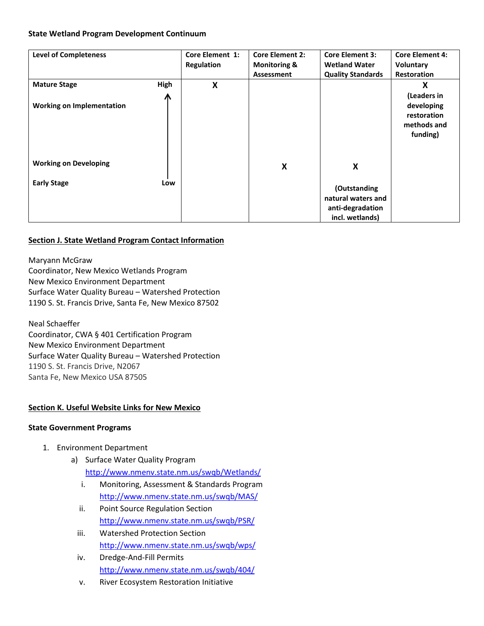#### **State Wetland Program Development Continuum**

| <b>Level of Completeness</b>     |      | Core Element 1:   | <b>Core Element 2:</b>  | <b>Core Element 3:</b>   | <b>Core Element 4:</b> |
|----------------------------------|------|-------------------|-------------------------|--------------------------|------------------------|
|                                  |      | <b>Regulation</b> | <b>Monitoring &amp;</b> | <b>Wetland Water</b>     | Voluntary              |
|                                  |      |                   | Assessment              | <b>Quality Standards</b> | <b>Restoration</b>     |
| <b>Mature Stage</b>              | High | X                 |                         |                          | X                      |
|                                  | Л    |                   |                         |                          | (Leaders in            |
| <b>Working on Implementation</b> |      |                   |                         |                          | developing             |
|                                  |      |                   |                         |                          | restoration            |
|                                  |      |                   |                         |                          | methods and            |
|                                  |      |                   |                         |                          | funding)               |
|                                  |      |                   |                         |                          |                        |
|                                  |      |                   |                         |                          |                        |
| <b>Working on Developing</b>     |      |                   | X                       | X                        |                        |
|                                  |      |                   |                         |                          |                        |
| <b>Early Stage</b>               | Low  |                   |                         | (Outstanding             |                        |
|                                  |      |                   |                         | natural waters and       |                        |
|                                  |      |                   |                         |                          |                        |
|                                  |      |                   |                         | anti-degradation         |                        |
|                                  |      |                   |                         | incl. wetlands)          |                        |

### **Section J. State Wetland Program Contact Information**

[Maryann McGraw](mailto:Maryann.McGraw@state.nm.us) Coordinator, New Mexico Wetlands Program New Mexico Environment Department Surface Water Quality Bureau – Watershed Protection 1190 S. St. Francis Drive, Santa Fe, New Mexico 87502

[Neal Schaeffer](mailto:Neal.Schaeffer@state.nm.us) Coordinator, CWA § 401 Certification Program New Mexico Environment Department Surface Water Quality Bureau – Watershed Protection 1190 S. St. Francis Drive, N2067 Santa Fe, New Mexico USA 87505

#### **Section K. Useful Website Links for New Mexico**

#### **State Government Programs**

- 1. Environment Department
	- a) Surface Water Quality Program <http://www.nmenv.state.nm.us/swqb/Wetlands/>
		- i. Monitoring, Assessment & Standards Program <http://www.nmenv.state.nm.us/swqb/MAS/>
		- ii. Point Source Regulation Section <http://www.nmenv.state.nm.us/swqb/PSR/>
		- iii. Watershed Protection Section <http://www.nmenv.state.nm.us/swqb/wps/>
		- iv. Dredge-And-Fill Permits <http://www.nmenv.state.nm.us/swqb/404/>
		- v. River Ecosystem Restoration Initiative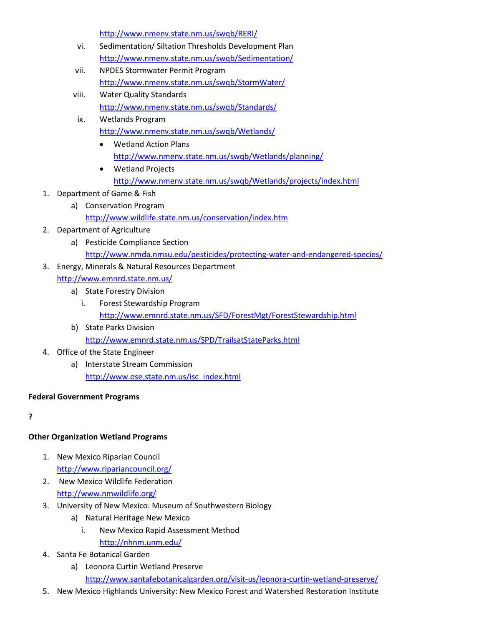<http://www.nmenv.state.nm.us/swqb/RERI/>

- vi. Sedimentation/ Siltation Thresholds Development Plan <http://www.nmenv.state.nm.us/swqb/Sedimentation/>
- vii. NPDES Stormwater Permit Program <http://www.nmenv.state.nm.us/swqb/StormWater/>
- viii. Water Quality Standards <http://www.nmenv.state.nm.us/swqb/Standards/>
- ix. Wetlands Program <http://www.nmenv.state.nm.us/swqb/Wetlands/>
	- Wetland Action Plans <http://www.nmenv.state.nm.us/swqb/Wetlands/planning/>
	- Wetland Projects <http://www.nmenv.state.nm.us/swqb/Wetlands/projects/index.html>
- 1. Department of Game & Fish
	- a) Conservation Program <http://www.wildlife.state.nm.us/conservation/index.htm>
- 2. Department of Agriculture
	- a) Pesticide Compliance Section <http://www.nmda.nmsu.edu/pesticides/protecting-water-and-endangered-species/>
- 3. Energy, Minerals & Natural Resources Department <http://www.emnrd.state.nm.us/>
	- a) State Forestry Division
		- i. Forest Stewardship Program <http://www.emnrd.state.nm.us/SFD/ForestMgt/ForestStewardship.html>
	- b) State Parks Division <http://www.emnrd.state.nm.us/SPD/TrailsatStateParks.html>
- 4. Office of the State Engineer
	- a) Interstate Stream Commission [http://www.ose.state.nm.us/isc\\_index.html](http://www.ose.state.nm.us/isc_index.html)

# **Federal Government Programs**

**?**

# **Other Organization Wetland Programs**

- 1. New Mexico Riparian Council <http://www.ripariancouncil.org/>
- 2. New Mexico Wildlife Federation <http://www.nmwildlife.org/>
- 3. University of New Mexico: Museum of Southwestern Biology
	- a) Natural Heritage New Mexico
		- i. New Mexico Rapid Assessment Method <http://nhnm.unm.edu/>
- 4. Santa Fe Botanical Garden
	- a) Leonora Curtin Wetland Preserve <http://www.santafebotanicalgarden.org/visit-us/leonora-curtin-wetland-preserve/>
- 5. New Mexico Highlands University: New Mexico Forest and Watershed Restoration Institute